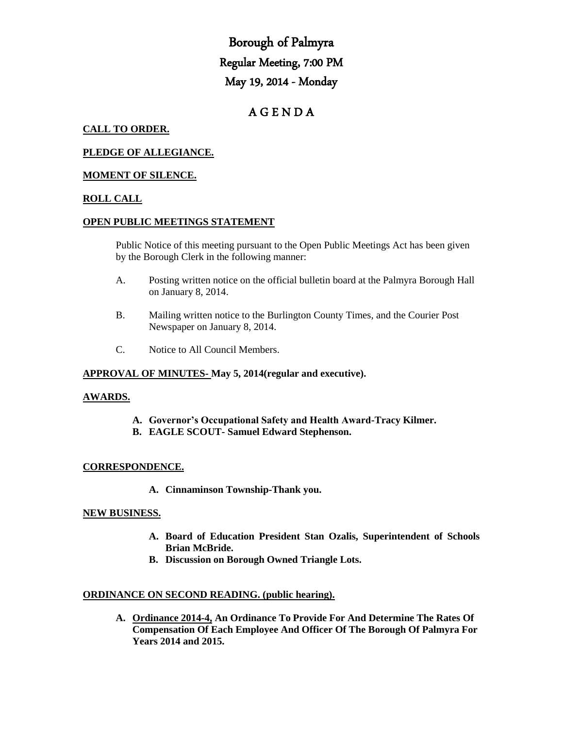# Borough of Palmyra Regular Meeting, 7:00 PM May 19, 2014 - Monday

# A G E N D A

### **CALL TO ORDER.**

# **PLEDGE OF ALLEGIANCE.**

# **MOMENT OF SILENCE.**

#### **ROLL CALL**

#### **OPEN PUBLIC MEETINGS STATEMENT**

Public Notice of this meeting pursuant to the Open Public Meetings Act has been given by the Borough Clerk in the following manner:

- A. Posting written notice on the official bulletin board at the Palmyra Borough Hall on January 8, 2014.
- B. Mailing written notice to the Burlington County Times, and the Courier Post Newspaper on January 8, 2014.
- C. Notice to All Council Members.

#### **APPROVAL OF MINUTES- May 5, 2014(regular and executive).**

#### **AWARDS.**

- **A. Governor's Occupational Safety and Health Award-Tracy Kilmer.**
- **B. EAGLE SCOUT- Samuel Edward Stephenson.**

#### **CORRESPONDENCE.**

**A. Cinnaminson Township-Thank you.**

#### **NEW BUSINESS.**

- **A. Board of Education President Stan Ozalis, Superintendent of Schools Brian McBride.**
- **B. Discussion on Borough Owned Triangle Lots.**

#### **ORDINANCE ON SECOND READING. (public hearing).**

**A. Ordinance 2014-4, An Ordinance To Provide For And Determine The Rates Of Compensation Of Each Employee And Officer Of The Borough Of Palmyra For Years 2014 and 2015.**